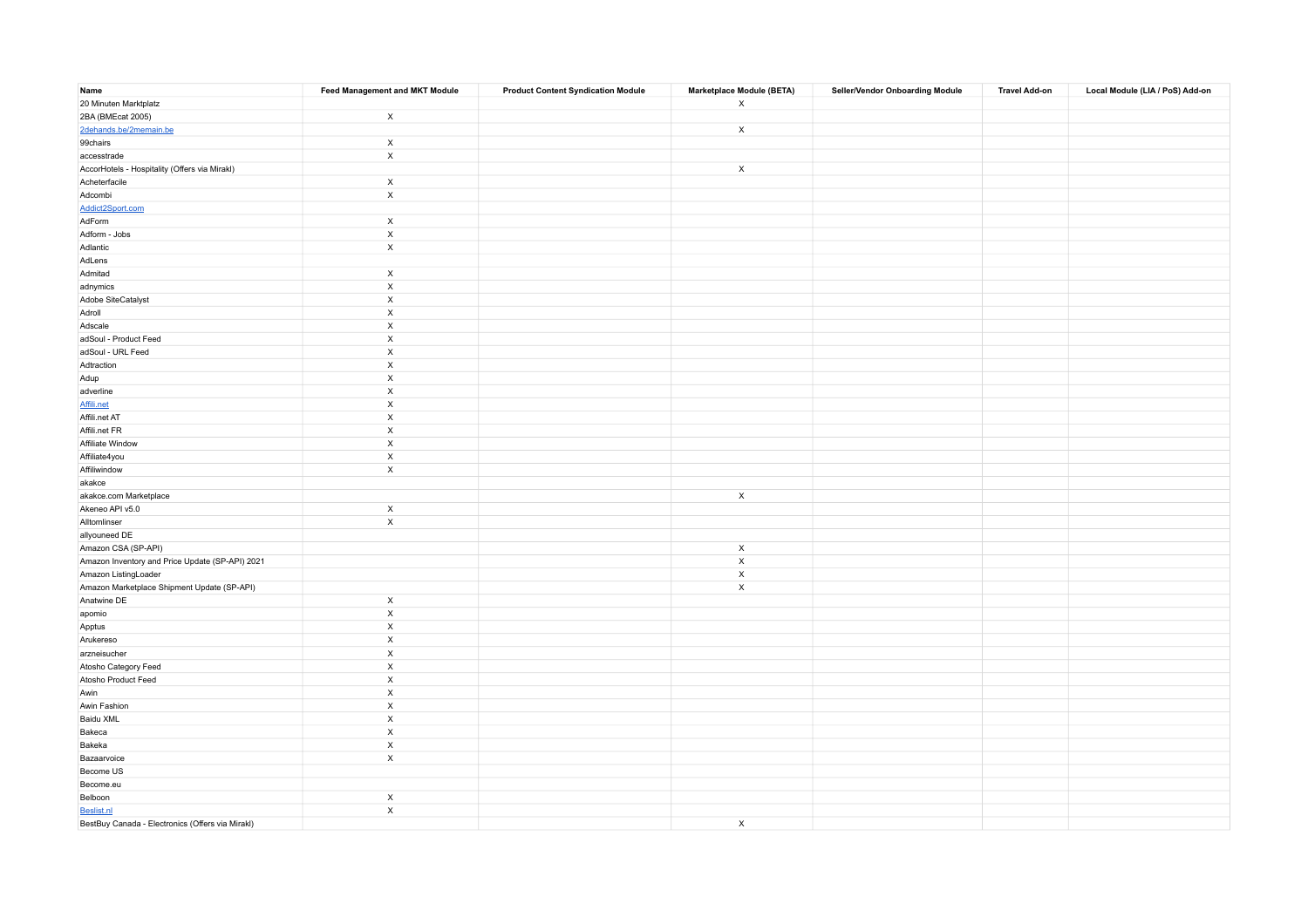| Name                                             | <b>Feed Management and MKT Module</b> | <b>Product Content Syndication Module</b> | Marketplace Module (BETA) | Seller/Vendor Onboarding Module | <b>Travel Add-on</b> | Local Module (LIA / PoS) Add-on |
|--------------------------------------------------|---------------------------------------|-------------------------------------------|---------------------------|---------------------------------|----------------------|---------------------------------|
| 20 Minuten Marktplatz                            |                                       |                                           | $\mathsf{x}$              |                                 |                      |                                 |
| 2BA (BMEcat 2005)                                | $\mathsf{x}$                          |                                           |                           |                                 |                      |                                 |
| 2dehands.be/2memain.be                           |                                       |                                           | $\mathsf{x}$              |                                 |                      |                                 |
| 99chairs                                         | $\boldsymbol{\mathsf{x}}$             |                                           |                           |                                 |                      |                                 |
| accesstrade                                      | $\boldsymbol{\mathsf{X}}$             |                                           |                           |                                 |                      |                                 |
| AccorHotels - Hospitality (Offers via Mirakl)    |                                       |                                           | $\mathsf{x}$              |                                 |                      |                                 |
| Acheterfacile                                    | $\boldsymbol{\mathsf{X}}$             |                                           |                           |                                 |                      |                                 |
| Adcombi                                          | $\boldsymbol{\mathsf{x}}$             |                                           |                           |                                 |                      |                                 |
| Addict2Sport.com                                 |                                       |                                           |                           |                                 |                      |                                 |
| AdForm                                           | $\mathsf X$                           |                                           |                           |                                 |                      |                                 |
| Adform - Jobs                                    | $\mathsf X$                           |                                           |                           |                                 |                      |                                 |
| Adlantic                                         | $\boldsymbol{\mathsf{X}}$             |                                           |                           |                                 |                      |                                 |
| AdLens                                           |                                       |                                           |                           |                                 |                      |                                 |
| Admitad                                          | $\mathsf{x}$                          |                                           |                           |                                 |                      |                                 |
| adnymics                                         | $\boldsymbol{\mathsf{X}}$             |                                           |                           |                                 |                      |                                 |
| Adobe SiteCatalyst                               | $\mathsf X$                           |                                           |                           |                                 |                      |                                 |
| Adroll                                           | $\boldsymbol{\mathsf{x}}$             |                                           |                           |                                 |                      |                                 |
| Adscale                                          | $\mathsf X$                           |                                           |                           |                                 |                      |                                 |
| adSoul - Product Feed                            | $\mathsf X$                           |                                           |                           |                                 |                      |                                 |
| adSoul - URL Feed                                | $\boldsymbol{\mathsf{x}}$             |                                           |                           |                                 |                      |                                 |
| Adtraction                                       | $\mathsf X$                           |                                           |                           |                                 |                      |                                 |
| Adup                                             | $\boldsymbol{\mathsf{x}}$             |                                           |                           |                                 |                      |                                 |
| adverline                                        | $\mathsf X$                           |                                           |                           |                                 |                      |                                 |
| Affili.net                                       | $\boldsymbol{\mathsf{x}}$             |                                           |                           |                                 |                      |                                 |
| Affili.net AT                                    | $\boldsymbol{\mathsf{x}}$             |                                           |                           |                                 |                      |                                 |
| Affili.net FR                                    | $\mathsf X$                           |                                           |                           |                                 |                      |                                 |
| Affiliate Window                                 | $\mathsf X$                           |                                           |                           |                                 |                      |                                 |
| Affiliate4you                                    | $\boldsymbol{\mathsf{x}}$             |                                           |                           |                                 |                      |                                 |
| Affiliwindow                                     | $\boldsymbol{\mathsf{x}}$             |                                           |                           |                                 |                      |                                 |
| akakce                                           |                                       |                                           |                           |                                 |                      |                                 |
| akakce.com Marketplace                           |                                       |                                           | $\mathsf{x}$              |                                 |                      |                                 |
| Akeneo API v5.0                                  | $\times$                              |                                           |                           |                                 |                      |                                 |
| Alltomlinser                                     | $\boldsymbol{\mathsf{x}}$             |                                           |                           |                                 |                      |                                 |
| allyouneed DE                                    |                                       |                                           |                           |                                 |                      |                                 |
| Amazon CSA (SP-API)                              |                                       |                                           | $\boldsymbol{\mathsf{x}}$ |                                 |                      |                                 |
| Amazon Inventory and Price Update (SP-API) 2021  |                                       |                                           | $\mathsf X$               |                                 |                      |                                 |
| Amazon ListingLoader                             |                                       |                                           | $\mathsf X$               |                                 |                      |                                 |
| Amazon Marketplace Shipment Update (SP-API)      |                                       |                                           | $\mathsf X$               |                                 |                      |                                 |
| Anatwine DE                                      | $\boldsymbol{\mathsf{x}}$             |                                           |                           |                                 |                      |                                 |
| apomio                                           | $\boldsymbol{\mathsf{X}}$             |                                           |                           |                                 |                      |                                 |
| Apptus                                           | $\mathsf X$                           |                                           |                           |                                 |                      |                                 |
| Arukereso                                        | $\mathsf X$                           |                                           |                           |                                 |                      |                                 |
| arzneisucher                                     | $\mathsf X$                           |                                           |                           |                                 |                      |                                 |
| Atosho Category Feed                             | $\mathsf X$                           |                                           |                           |                                 |                      |                                 |
| Atosho Product Feed                              | $\mathsf X$                           |                                           |                           |                                 |                      |                                 |
| Awin                                             | $\mathsf X$                           |                                           |                           |                                 |                      |                                 |
| Awin Fashion                                     | $\mathsf X$                           |                                           |                           |                                 |                      |                                 |
| Baidu XML                                        | $\boldsymbol{\mathsf{x}}$             |                                           |                           |                                 |                      |                                 |
| Bakeca                                           | $\mathsf X$                           |                                           |                           |                                 |                      |                                 |
| Bakeka                                           | $\mathsf X$                           |                                           |                           |                                 |                      |                                 |
| Bazaarvoice                                      | $\mathsf{x}$                          |                                           |                           |                                 |                      |                                 |
| Become US                                        |                                       |                                           |                           |                                 |                      |                                 |
| Become.eu                                        |                                       |                                           |                           |                                 |                      |                                 |
| Belboon                                          | $\mathsf{x}$                          |                                           |                           |                                 |                      |                                 |
| Beslist.nl                                       | $\boldsymbol{\mathsf{X}}$             |                                           |                           |                                 |                      |                                 |
| BestBuy Canada - Electronics (Offers via Mirakl) |                                       |                                           | $\mathsf{x}$              |                                 |                      |                                 |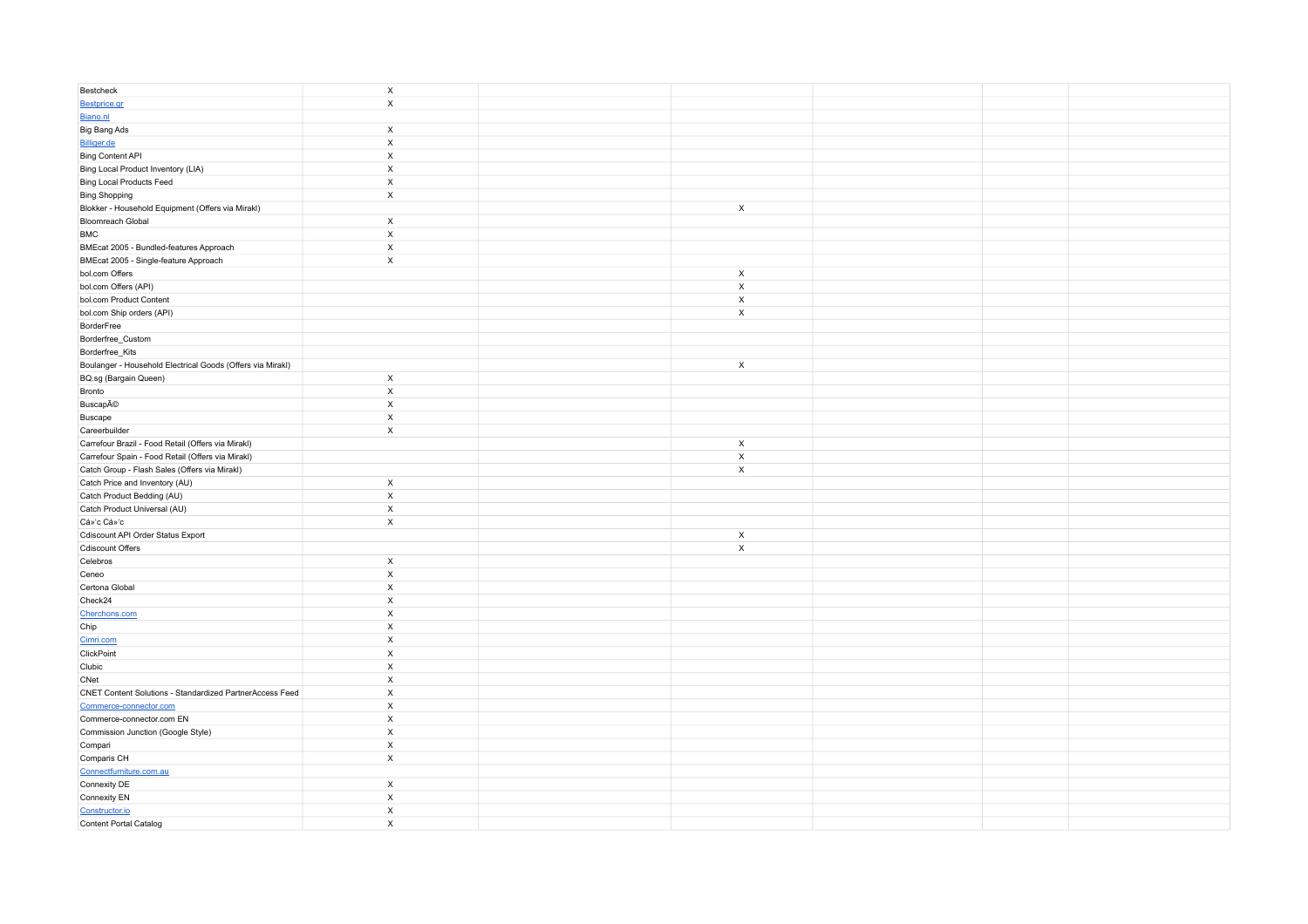| Bestcheck                                                  | $\mathsf X$                                            |                           |  |
|------------------------------------------------------------|--------------------------------------------------------|---------------------------|--|
| Bestprice.gr                                               | $\boldsymbol{\mathsf{x}}$                              |                           |  |
| Biano.nl                                                   |                                                        |                           |  |
| Big Bang Ads                                               | $\boldsymbol{\mathsf{x}}$                              |                           |  |
| Billiger.de                                                | $\mathsf X$                                            |                           |  |
| Bing Content API                                           | $\boldsymbol{\mathsf{X}}$                              |                           |  |
| Bing Local Product Inventory (LIA)                         | $\boldsymbol{\mathsf{x}}$                              |                           |  |
| <b>Bing Local Products Feed</b>                            | $\mathsf X$                                            |                           |  |
| <b>Bing Shopping</b>                                       | $\boldsymbol{\mathsf{x}}$                              |                           |  |
| Blokker - Household Equipment (Offers via Mirakl)          |                                                        | $\mathsf{X}$              |  |
| <b>Bloomreach Global</b>                                   | $\boldsymbol{\mathsf{x}}$                              |                           |  |
| <b>BMC</b>                                                 | $\mathsf{x}$                                           |                           |  |
| BMEcat 2005 - Bundled-features Approach                    | $\mathsf X$                                            |                           |  |
| BMEcat 2005 - Single-feature Approach                      | $\mathsf X$                                            |                           |  |
| bol.com Offers                                             |                                                        | $\mathsf X$               |  |
| bol.com Offers (API)                                       |                                                        | $\mathsf X$               |  |
| bol.com Product Content                                    |                                                        | $\mathsf X$               |  |
| bol.com Ship orders (API)                                  |                                                        | $\mathsf{x}$              |  |
| BorderFree                                                 |                                                        |                           |  |
| Borderfree_Custom                                          |                                                        |                           |  |
| Borderfree_Kits                                            |                                                        |                           |  |
| Boulanger - Household Electrical Goods (Offers via Mirakl) |                                                        | $\boldsymbol{\mathsf{x}}$ |  |
| BQ.sg (Bargain Queen)                                      | $\mathsf X$                                            |                           |  |
| Bronto                                                     | $\mathsf X$                                            |                           |  |
| Buscapé                                                    | $\mathsf X$                                            |                           |  |
| Buscape                                                    | $\boldsymbol{\mathsf{x}}$                              |                           |  |
| Careerbuilder                                              | $\boldsymbol{\mathsf{x}}$                              |                           |  |
| Carrefour Brazil - Food Retail (Offers via Mirakl)         |                                                        | $\boldsymbol{\mathsf{x}}$ |  |
| Carrefour Spain - Food Retail (Offers via Mirakl)          |                                                        | $\mathsf X$               |  |
| Catch Group - Flash Sales (Offers via Mirakl)              |                                                        | $\mathsf X$               |  |
| Catch Price and Inventory (AU)                             | $\boldsymbol{\mathsf{X}}$                              |                           |  |
| Catch Product Bedding (AU)                                 | $\mathsf X$                                            |                           |  |
| Catch Product Universal (AU)                               | $\times$                                               |                           |  |
| Cá»'c Cá»'c                                                | $\boldsymbol{\mathsf{X}}$                              |                           |  |
| Cdiscount API Order Status Export                          |                                                        | $\boldsymbol{\mathsf{x}}$ |  |
| <b>Cdiscount Offers</b>                                    |                                                        | $\mathsf X$               |  |
| Celebros                                                   | $\times$                                               |                           |  |
| Ceneo                                                      | $\boldsymbol{\mathsf{X}}$                              |                           |  |
| Certona Global                                             | $\mathsf X$                                            |                           |  |
| Check24                                                    | $\mathsf X$                                            |                           |  |
|                                                            | $\mathsf X$                                            |                           |  |
| Cherchons.com                                              | $\boldsymbol{\mathsf{X}}$                              |                           |  |
| Chip                                                       | $\boldsymbol{\mathsf{X}}$                              |                           |  |
| Cimri.com<br>ClickPoint                                    | $\mathsf X$                                            |                           |  |
|                                                            |                                                        |                           |  |
| Clubic                                                     | $\boldsymbol{\mathsf{X}}$<br>$\boldsymbol{\mathsf{x}}$ |                           |  |
| CNet                                                       |                                                        |                           |  |
| CNET Content Solutions - Standardized PartnerAccess Feed   | $\mathsf X$                                            |                           |  |
| Commerce-connector.com                                     | $\boldsymbol{\mathsf{X}}$                              |                           |  |
| Commerce-connector.com EN                                  | $\boldsymbol{\mathsf{x}}$                              |                           |  |
| Commission Junction (Google Style)                         | $\mathsf X$                                            |                           |  |
| Compari                                                    | $\mathsf X$                                            |                           |  |
| Comparis CH                                                | $\boldsymbol{\mathsf{x}}$                              |                           |  |
| Connectfurniture.com.au                                    |                                                        |                           |  |
| Connexity DE                                               | $\boldsymbol{\mathsf{x}}$                              |                           |  |
| Connexity EN                                               | $\mathsf X$                                            |                           |  |
| Constructor.io                                             | $\boldsymbol{\mathsf{X}}$                              |                           |  |
| Content Portal Catalog                                     | $\boldsymbol{\mathsf{x}}$                              |                           |  |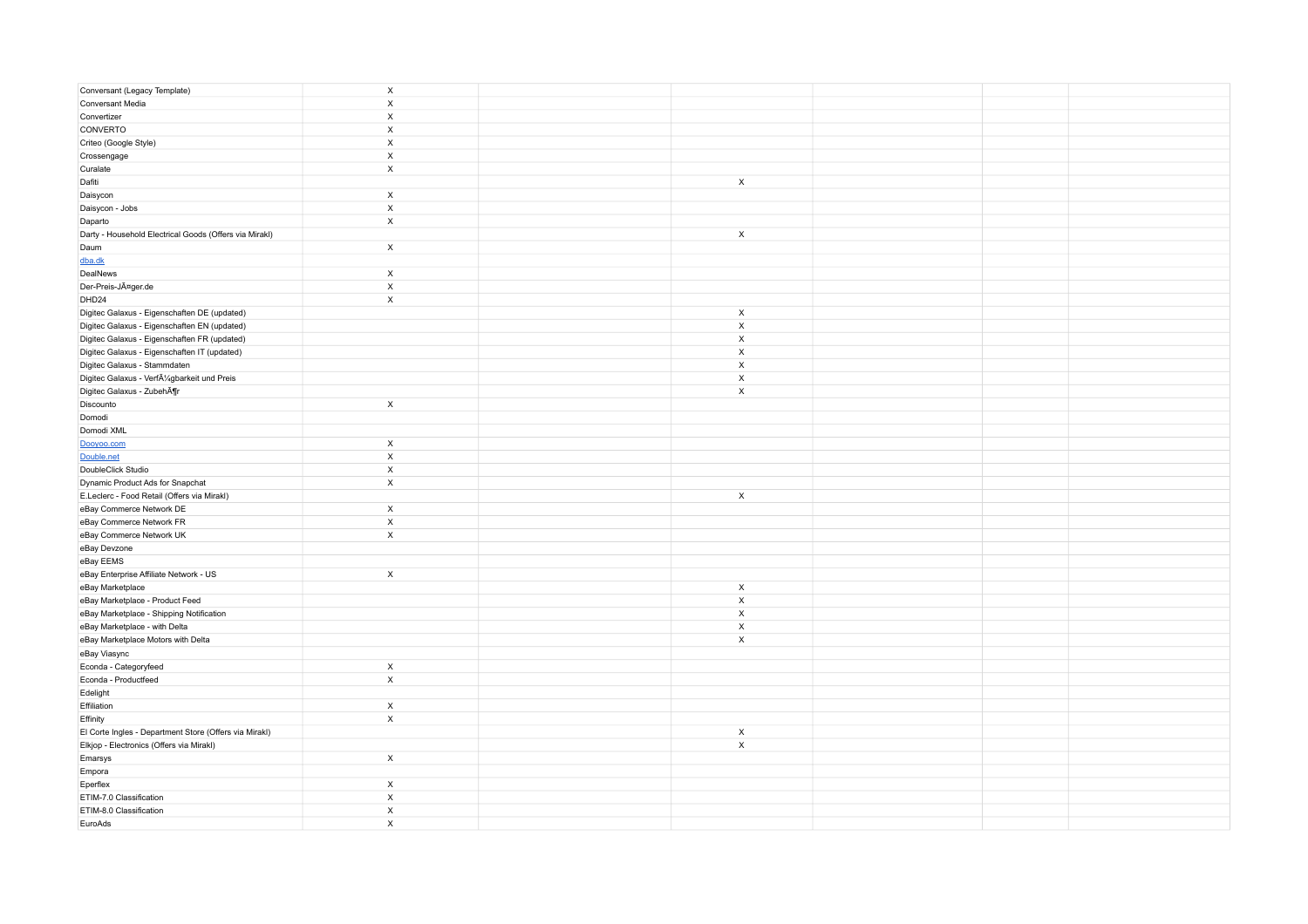| Conversant (Legacy Template)                           | $\mathsf X$               |                           |  |
|--------------------------------------------------------|---------------------------|---------------------------|--|
| Conversant Media                                       | $\mathsf X$               |                           |  |
| Convertizer                                            | $\mathsf X$               |                           |  |
| CONVERTO                                               | $\mathsf X$               |                           |  |
| Criteo (Google Style)                                  | $\mathsf X$               |                           |  |
| Crossengage                                            | X                         |                           |  |
| Curalate                                               | $\boldsymbol{\mathsf{x}}$ |                           |  |
| Dafiti                                                 |                           | $\mathsf{x}$              |  |
| Daisycon                                               | $\mathsf X$               |                           |  |
| Daisycon - Jobs                                        | $\mathsf X$               |                           |  |
| Daparto                                                | $\mathsf X$               |                           |  |
| Darty - Household Electrical Goods (Offers via Mirakl) |                           | $\boldsymbol{\mathsf{x}}$ |  |
| Daum                                                   | $\mathsf X$               |                           |  |
| dba.dk                                                 |                           |                           |  |
| DealNews                                               | $\boldsymbol{\mathsf{x}}$ |                           |  |
| Der-Preis-Jäger.de                                     | $\mathsf X$               |                           |  |
| DHD24                                                  | $\boldsymbol{\mathsf{x}}$ |                           |  |
| Digitec Galaxus - Eigenschaften DE (updated)           |                           | $\mathsf X$               |  |
| Digitec Galaxus - Eigenschaften EN (updated)           |                           | X                         |  |
| Digitec Galaxus - Eigenschaften FR (updated)           |                           | $\mathsf X$               |  |
| Digitec Galaxus - Eigenschaften IT (updated)           |                           | $\mathsf X$               |  |
| Digitec Galaxus - Stammdaten                           |                           | $\pmb{\chi}$              |  |
| Digitec Galaxus - Verfügbarkeit und Preis              |                           | X                         |  |
| Digitec Galaxus - Zubehör                              |                           | $\mathsf X$               |  |
| Discounto                                              | $\boldsymbol{\mathsf{x}}$ |                           |  |
| Domodi                                                 |                           |                           |  |
| Domodi XML                                             |                           |                           |  |
| Dooyoo.com                                             | $\mathsf X$               |                           |  |
| Double.net                                             | $\boldsymbol{\mathsf{X}}$ |                           |  |
| DoubleClick Studio                                     | $\mathsf X$               |                           |  |
| Dynamic Product Ads for Snapchat                       | $\boldsymbol{\mathsf{x}}$ |                           |  |
| E.Leclerc - Food Retail (Offers via Mirakl)            |                           | $\mathsf X$               |  |
| eBay Commerce Network DE                               | $\boldsymbol{\mathsf{X}}$ |                           |  |
| eBay Commerce Network FR                               | $\mathsf X$               |                           |  |
| eBay Commerce Network UK                               | $\mathsf X$               |                           |  |
| eBay Devzone                                           |                           |                           |  |
| eBay EEMS                                              |                           |                           |  |
| eBay Enterprise Affiliate Network - US                 | $\boldsymbol{\mathsf{x}}$ |                           |  |
| eBay Marketplace                                       |                           | X                         |  |
| eBay Marketplace - Product Feed                        |                           | $\mathsf X$               |  |
| eBay Marketplace - Shipping Notification               |                           | $\mathsf X$               |  |
| eBay Marketplace - with Delta                          |                           | $\mathsf X$               |  |
| eBay Marketplace Motors with Delta                     |                           | $\mathsf X$               |  |
| eBay Viasync                                           |                           |                           |  |
| Econda - Categoryfeed                                  | $\mathsf X$               |                           |  |
| Econda - Productfeed                                   | $\boldsymbol{\mathsf{X}}$ |                           |  |
| Edelight                                               |                           |                           |  |
| Effiliation                                            | $\mathsf X$               |                           |  |
| Effinity                                               | $\mathsf X$               |                           |  |
| El Corte Ingles - Department Store (Offers via Mirakl) |                           | $\mathsf X$               |  |
| Elkjop - Electronics (Offers via Mirakl)               |                           | $\mathsf X$               |  |
| Emarsys                                                | $\mathsf{x}$              |                           |  |
| Empora                                                 |                           |                           |  |
| Eperflex                                               | $\mathsf X$               |                           |  |
| ETIM-7.0 Classification                                | $\mathsf X$               |                           |  |
| ETIM-8.0 Classification                                | X                         |                           |  |
| EuroAds                                                | $\mathsf X$               |                           |  |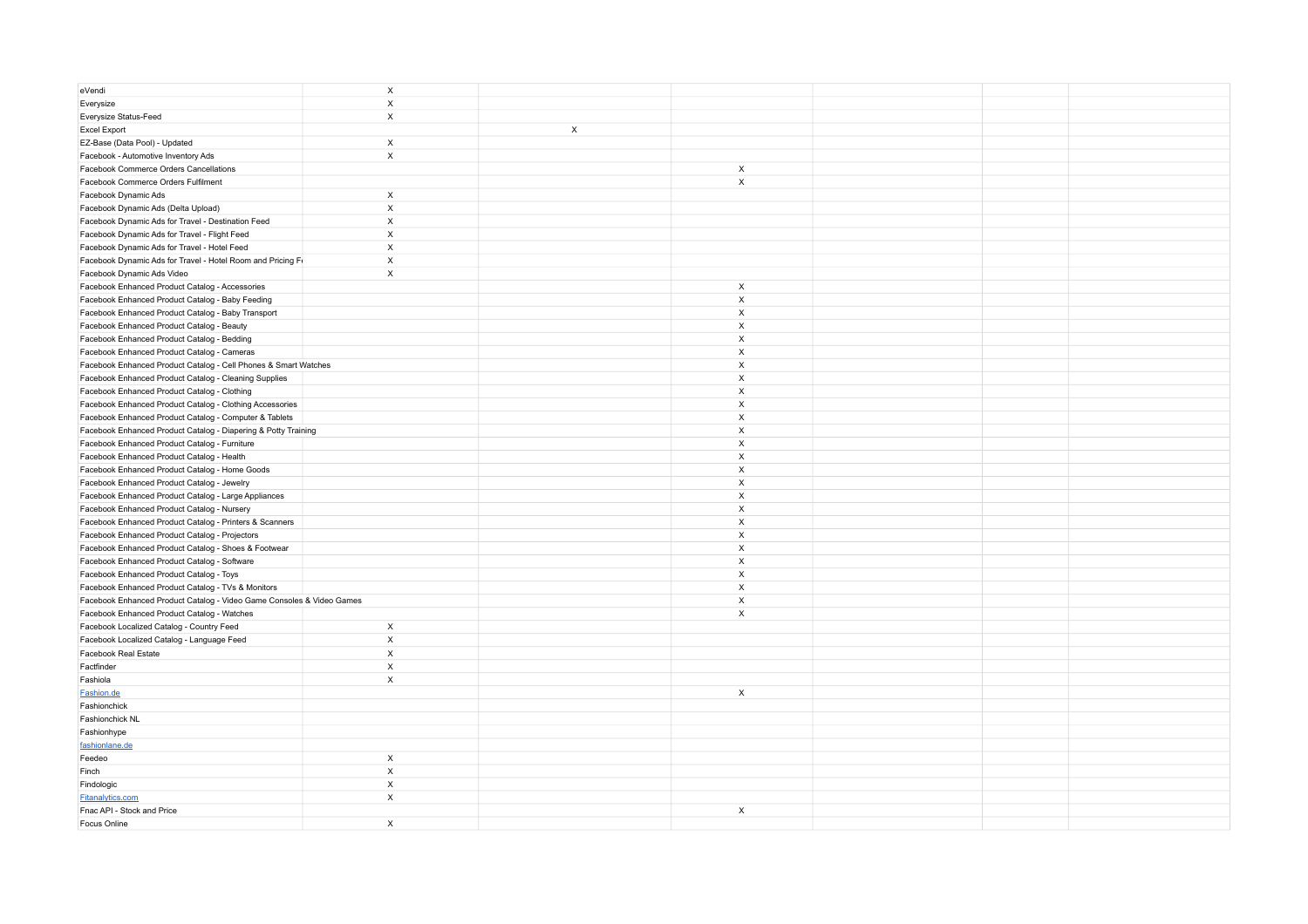| eVendi                                                                                                 | $\mathsf X$  |                           |                           |  |
|--------------------------------------------------------------------------------------------------------|--------------|---------------------------|---------------------------|--|
| Everysize                                                                                              | X            |                           |                           |  |
| Everysize Status-Feed                                                                                  | $\mathsf X$  |                           |                           |  |
| <b>Excel Export</b>                                                                                    |              | $\boldsymbol{\mathsf{X}}$ |                           |  |
| EZ-Base (Data Pool) - Updated                                                                          | $\mathsf X$  |                           |                           |  |
| Facebook - Automotive Inventory Ads                                                                    | X            |                           |                           |  |
| Facebook Commerce Orders Cancellations                                                                 |              |                           | $\boldsymbol{\mathsf{x}}$ |  |
| Facebook Commerce Orders Fulfilment                                                                    |              |                           | $\mathsf X$               |  |
| Facebook Dynamic Ads                                                                                   | X            |                           |                           |  |
| Facebook Dynamic Ads (Delta Upload)                                                                    | $\mathsf X$  |                           |                           |  |
| Facebook Dynamic Ads for Travel - Destination Feed                                                     | X            |                           |                           |  |
| Facebook Dynamic Ads for Travel - Flight Feed                                                          | $\mathsf X$  |                           |                           |  |
| Facebook Dynamic Ads for Travel - Hotel Feed                                                           | $\mathsf X$  |                           |                           |  |
| Facebook Dynamic Ads for Travel - Hotel Room and Pricing F                                             | $\mathsf X$  |                           |                           |  |
| Facebook Dynamic Ads Video                                                                             | $\mathsf X$  |                           |                           |  |
| Facebook Enhanced Product Catalog - Accessories                                                        |              |                           | X                         |  |
| Facebook Enhanced Product Catalog - Baby Feeding                                                       |              |                           | X                         |  |
| Facebook Enhanced Product Catalog - Baby Transport                                                     |              |                           | X                         |  |
| Facebook Enhanced Product Catalog - Beauty                                                             |              |                           | X                         |  |
| Facebook Enhanced Product Catalog - Bedding                                                            |              |                           | X                         |  |
| Facebook Enhanced Product Catalog - Cameras                                                            |              |                           | X                         |  |
| Facebook Enhanced Product Catalog - Cell Phones & Smart Watches                                        |              |                           | X                         |  |
| Facebook Enhanced Product Catalog - Cleaning Supplies                                                  |              |                           | X                         |  |
| Facebook Enhanced Product Catalog - Clothing                                                           |              |                           | X                         |  |
| Facebook Enhanced Product Catalog - Clothing Accessories                                               |              |                           | X                         |  |
| Facebook Enhanced Product Catalog - Computer & Tablets                                                 |              |                           | X                         |  |
| Facebook Enhanced Product Catalog - Diapering & Potty Training                                         |              |                           | X                         |  |
| Facebook Enhanced Product Catalog - Furniture                                                          |              |                           | X                         |  |
| Facebook Enhanced Product Catalog - Health                                                             |              |                           | X                         |  |
| Facebook Enhanced Product Catalog - Home Goods                                                         |              |                           | $\mathsf{x}$              |  |
| Facebook Enhanced Product Catalog - Jewelry                                                            |              |                           | X                         |  |
| Facebook Enhanced Product Catalog - Large Appliances                                                   |              |                           | X                         |  |
|                                                                                                        |              |                           | X                         |  |
| Facebook Enhanced Product Catalog - Nursery<br>Facebook Enhanced Product Catalog - Printers & Scanners |              |                           | X                         |  |
|                                                                                                        |              |                           | X                         |  |
| Facebook Enhanced Product Catalog - Projectors                                                         |              |                           | X                         |  |
| Facebook Enhanced Product Catalog - Shoes & Footwear                                                   |              |                           | X                         |  |
| Facebook Enhanced Product Catalog - Software                                                           |              |                           | X                         |  |
| Facebook Enhanced Product Catalog - Toys                                                               |              |                           |                           |  |
| Facebook Enhanced Product Catalog - TVs & Monitors                                                     |              |                           | X<br>$\pmb{\chi}$         |  |
| Facebook Enhanced Product Catalog - Video Game Consoles & Video Games                                  |              |                           |                           |  |
| Facebook Enhanced Product Catalog - Watches                                                            |              |                           | X                         |  |
| Facebook Localized Catalog - Country Feed                                                              | $\mathsf{X}$ |                           |                           |  |
| Facebook Localized Catalog - Language Feed                                                             | X            |                           |                           |  |
| Facebook Real Estate                                                                                   | $\mathsf X$  |                           |                           |  |
| Factfinder                                                                                             | X            |                           |                           |  |
| Fashiola                                                                                               | X            |                           |                           |  |
| Fashion.de                                                                                             |              |                           | $\mathsf{x}$              |  |
| Fashionchick                                                                                           |              |                           |                           |  |
| Fashionchick NL                                                                                        |              |                           |                           |  |
| Fashionhype                                                                                            |              |                           |                           |  |
| fashionlane.de                                                                                         |              |                           |                           |  |
| Feedeo                                                                                                 | $\mathsf X$  |                           |                           |  |
| Finch                                                                                                  | $\mathsf X$  |                           |                           |  |
| Findologic                                                                                             | X            |                           |                           |  |
| Fitanalytics.com                                                                                       | $\mathsf X$  |                           |                           |  |
| Fnac API - Stock and Price                                                                             |              |                           | $\mathsf{x}$              |  |
| Focus Online                                                                                           | X            |                           |                           |  |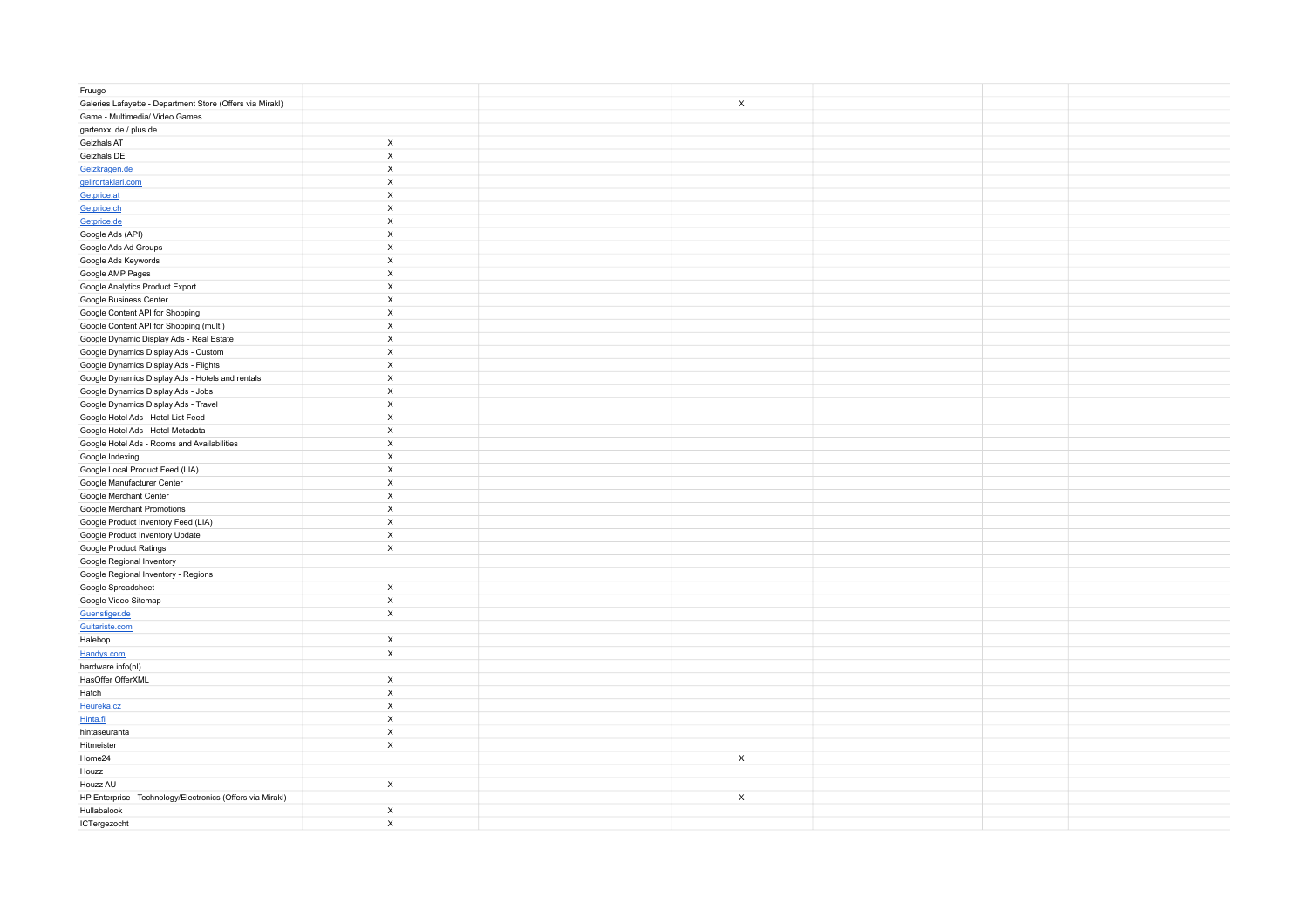| Fruugo                                                     |                           |                           |  |  |
|------------------------------------------------------------|---------------------------|---------------------------|--|--|
| Galeries Lafayette - Department Store (Offers via Mirakl)  |                           | $\boldsymbol{\mathsf{x}}$ |  |  |
| Game - Multimedia/ Video Games                             |                           |                           |  |  |
| gartenxxl.de / plus.de                                     |                           |                           |  |  |
| Geizhals AT                                                | $\mathsf X$               |                           |  |  |
| Geizhals DE                                                | $\boldsymbol{\mathsf{X}}$ |                           |  |  |
| Geizkragen.de                                              | $\boldsymbol{\mathsf{X}}$ |                           |  |  |
| gelirortaklari.com                                         | $\boldsymbol{\mathsf{X}}$ |                           |  |  |
| Getprice.at                                                | $\mathsf X$               |                           |  |  |
| Getprice.ch                                                | $\mathsf X$               |                           |  |  |
| Getprice.de                                                | $\boldsymbol{\mathsf{X}}$ |                           |  |  |
| Google Ads (API)                                           | $\mathsf X$               |                           |  |  |
| Google Ads Ad Groups                                       | $\boldsymbol{\mathsf{x}}$ |                           |  |  |
| Google Ads Keywords                                        | $\boldsymbol{\mathsf{X}}$ |                           |  |  |
| Google AMP Pages                                           | $\boldsymbol{\mathsf{X}}$ |                           |  |  |
| Google Analytics Product Export                            | $\boldsymbol{\mathsf{X}}$ |                           |  |  |
| Google Business Center                                     | $\boldsymbol{\mathsf{x}}$ |                           |  |  |
| Google Content API for Shopping                            | $\boldsymbol{\mathsf{X}}$ |                           |  |  |
| Google Content API for Shopping (multi)                    | $\boldsymbol{\mathsf{X}}$ |                           |  |  |
| Google Dynamic Display Ads - Real Estate                   | $\boldsymbol{\mathsf{X}}$ |                           |  |  |
| Google Dynamics Display Ads - Custom                       | $\boldsymbol{\mathsf{x}}$ |                           |  |  |
| Google Dynamics Display Ads - Flights                      | $\boldsymbol{\mathsf{X}}$ |                           |  |  |
| Google Dynamics Display Ads - Hotels and rentals           | $\boldsymbol{\mathsf{X}}$ |                           |  |  |
| Google Dynamics Display Ads - Jobs                         | $\boldsymbol{\mathsf{X}}$ |                           |  |  |
| Google Dynamics Display Ads - Travel                       | $\boldsymbol{\mathsf{x}}$ |                           |  |  |
| Google Hotel Ads - Hotel List Feed                         | $\boldsymbol{\mathsf{X}}$ |                           |  |  |
| Google Hotel Ads - Hotel Metadata                          | $\boldsymbol{\mathsf{X}}$ |                           |  |  |
| Google Hotel Ads - Rooms and Availabilities                | $\boldsymbol{\mathsf{X}}$ |                           |  |  |
| Google Indexing                                            | $\boldsymbol{\mathsf{X}}$ |                           |  |  |
| Google Local Product Feed (LIA)                            | $\boldsymbol{\mathsf{X}}$ |                           |  |  |
| Google Manufacturer Center                                 | $\boldsymbol{\mathsf{X}}$ |                           |  |  |
| Google Merchant Center                                     | $\boldsymbol{\mathsf{X}}$ |                           |  |  |
| Google Merchant Promotions                                 | $\boldsymbol{\mathsf{x}}$ |                           |  |  |
| Google Product Inventory Feed (LIA)                        | $\boldsymbol{\mathsf{X}}$ |                           |  |  |
| Google Product Inventory Update                            | $\boldsymbol{\mathsf{X}}$ |                           |  |  |
| Google Product Ratings                                     | $\mathsf X$               |                           |  |  |
| Google Regional Inventory                                  |                           |                           |  |  |
| Google Regional Inventory - Regions                        |                           |                           |  |  |
| Google Spreadsheet                                         | $\mathsf X$               |                           |  |  |
| Google Video Sitemap                                       | $\boldsymbol{\mathsf{X}}$ |                           |  |  |
| Guenstiger.de                                              | $\mathsf X$               |                           |  |  |
| Guitariste.com                                             |                           |                           |  |  |
| Halebop                                                    | $\mathsf X$               |                           |  |  |
| Handys.com                                                 | $\mathsf X$               |                           |  |  |
| hardware.info(nl)                                          |                           |                           |  |  |
| HasOffer OfferXML                                          | $\mathsf X$               |                           |  |  |
| Hatch                                                      | $\boldsymbol{\mathsf{X}}$ |                           |  |  |
| Heureka.cz                                                 | $\boldsymbol{\mathsf{X}}$ |                           |  |  |
| Hinta.fi                                                   | $\boldsymbol{\mathsf{x}}$ |                           |  |  |
| hintaseuranta                                              | $\mathsf X$               |                           |  |  |
| Hitmeister                                                 | $\mathsf X$               |                           |  |  |
| Home24                                                     |                           | $\mathsf X$               |  |  |
| Houzz                                                      |                           |                           |  |  |
| Houzz AU                                                   | $\mathsf X$               |                           |  |  |
| HP Enterprise - Technology/Electronics (Offers via Mirakl) |                           | $\mathsf{x}$              |  |  |
| Hullabalook                                                | $\boldsymbol{\mathsf{X}}$ |                           |  |  |
| ICTergezocht                                               | $\boldsymbol{\mathsf{x}}$ |                           |  |  |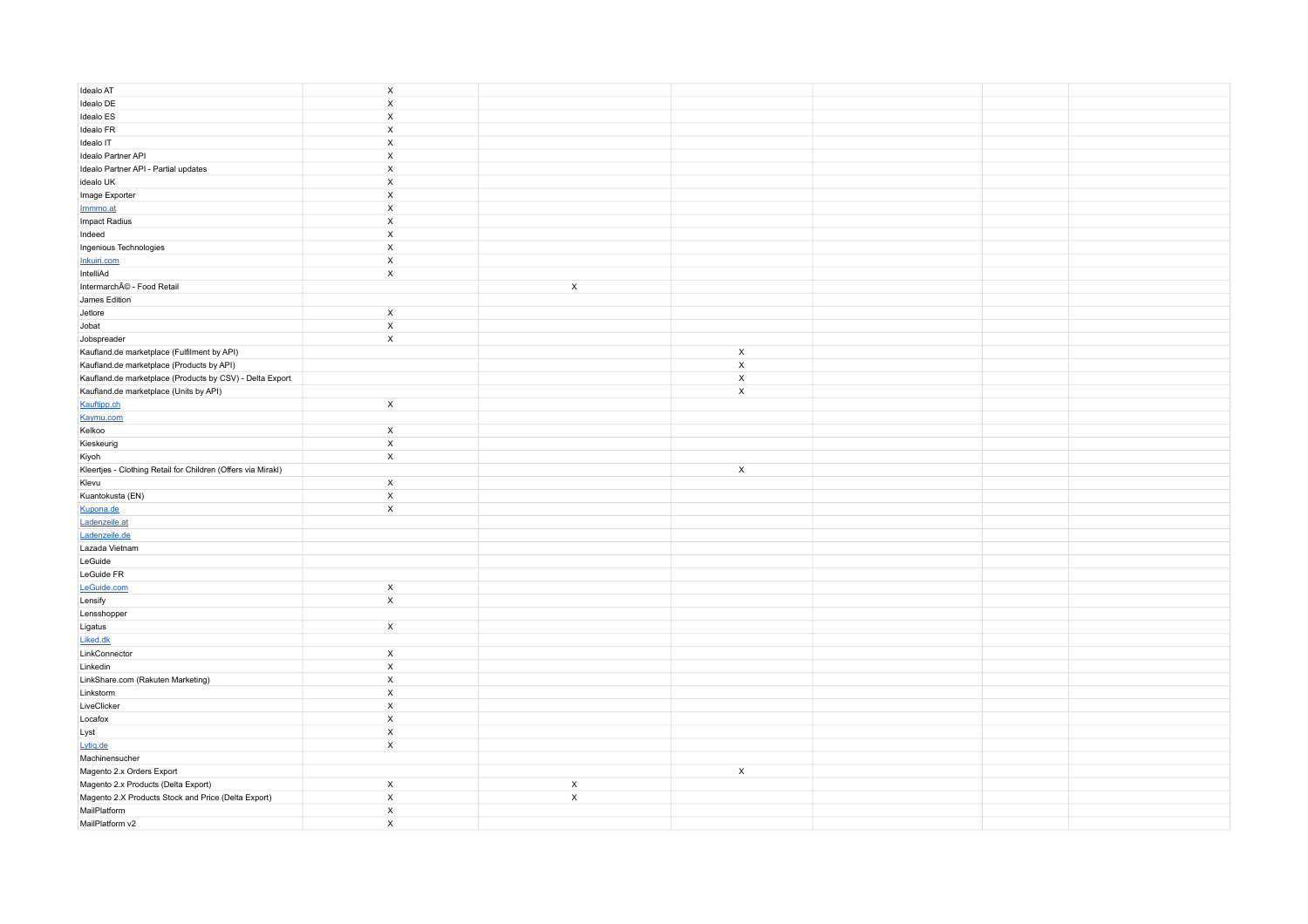| Idealo AT                                                    | $\boldsymbol{\mathsf{x}}$  |             |                           |  |  |
|--------------------------------------------------------------|----------------------------|-------------|---------------------------|--|--|
| Idealo DE                                                    | $\mathsf X$                |             |                           |  |  |
| Idealo ES                                                    | $\mathsf X$                |             |                           |  |  |
| Idealo FR                                                    | $\mathsf X$                |             |                           |  |  |
| Idealo IT                                                    | $\mathsf X$                |             |                           |  |  |
| Idealo Partner API                                           | $\mathsf X$                |             |                           |  |  |
| Idealo Partner API - Partial updates                         | $\mathsf X$                |             |                           |  |  |
| idealo UK                                                    | $\mathsf X$                |             |                           |  |  |
| Image Exporter                                               | $\mathsf X$                |             |                           |  |  |
| Immmo.at                                                     | $\mathsf X$                |             |                           |  |  |
| Impact Radius                                                | $\boldsymbol{\mathsf{X}}$  |             |                           |  |  |
| Indeed                                                       | $\mathsf X$<br>$\mathsf X$ |             |                           |  |  |
| Ingenious Technologies                                       | $\mathsf X$                |             |                           |  |  |
| Inkuiri.com<br>IntelliAd                                     | $\mathsf X$                |             |                           |  |  |
| IntermarchÃC - Food Retail                                   |                            | $\mathsf X$ |                           |  |  |
| James Edition                                                |                            |             |                           |  |  |
| Jetlore                                                      | $\mathsf{X}$               |             |                           |  |  |
| Jobat                                                        | $\mathsf X$                |             |                           |  |  |
| Jobspreader                                                  | $\mathsf{x}$               |             |                           |  |  |
| Kaufland.de marketplace (Fulfilment by API)                  |                            |             | $\boldsymbol{\mathsf{x}}$ |  |  |
| Kaufland.de marketplace (Products by API)                    |                            |             | $\mathsf X$               |  |  |
| Kaufland.de marketplace (Products by CSV) - Delta Export     |                            |             | $\boldsymbol{\mathsf{x}}$ |  |  |
| Kaufland.de marketplace (Units by API)                       |                            |             | $\boldsymbol{\mathsf{x}}$ |  |  |
| Kauftipp.ch                                                  | $\mathsf X$                |             |                           |  |  |
| Kaymu.com                                                    |                            |             |                           |  |  |
| Kelkoo                                                       | $\mathsf{X}$               |             |                           |  |  |
| Kieskeurig                                                   | $\mathsf X$                |             |                           |  |  |
| Kiyoh                                                        | $\mathsf{x}$               |             |                           |  |  |
| Kleertjes - Clothing Retail for Children (Offers via Mirakl) |                            |             | $\mathsf{x}$              |  |  |
| Klevu                                                        | $\mathsf{x}$               |             |                           |  |  |
| Kuantokusta (EN)                                             | $\mathsf X$                |             |                           |  |  |
| Kupona.de                                                    | $\mathsf{x}$               |             |                           |  |  |
| Ladenzeile.at                                                |                            |             |                           |  |  |
| Ladenzeile.de                                                |                            |             |                           |  |  |
| Lazada Vietnam                                               |                            |             |                           |  |  |
| LeGuide                                                      |                            |             |                           |  |  |
| LeGuide FR                                                   |                            |             |                           |  |  |
| LeGuide.com                                                  | $\mathsf{x}$               |             |                           |  |  |
| Lensify                                                      | $\mathsf X$                |             |                           |  |  |
| Lensshopper                                                  |                            |             |                           |  |  |
| Ligatus                                                      | $\mathsf{x}$               |             |                           |  |  |
| Liked.dk                                                     |                            |             |                           |  |  |
| LinkConnector                                                | $\mathsf{X}$               |             |                           |  |  |
| Linkedin                                                     | $\mathsf X$                |             |                           |  |  |
| LinkShare.com (Rakuten Marketing)                            | $\mathsf X$                |             |                           |  |  |
| Linkstorm                                                    | $\mathsf X$<br>$\mathsf X$ |             |                           |  |  |
| LiveClicker                                                  |                            |             |                           |  |  |
| Locafox<br>Lyst                                              | $\mathsf X$<br>$\mathsf X$ |             |                           |  |  |
|                                                              | $\boldsymbol{\mathsf{x}}$  |             |                           |  |  |
| Lytiq.de<br>Machinensucher                                   |                            |             |                           |  |  |
| Magento 2.x Orders Export                                    |                            |             | $\mathsf{x}$              |  |  |
| Magento 2.x Products (Delta Export)                          | $\mathsf{x}$               | $\mathsf X$ |                           |  |  |
| Magento 2.X Products Stock and Price (Delta Export)          | $\mathsf X$                | $\mathsf X$ |                           |  |  |
| MailPlatform                                                 | $\mathsf X$                |             |                           |  |  |
| MailPlatform v2                                              | $\mathsf{x}$               |             |                           |  |  |
|                                                              |                            |             |                           |  |  |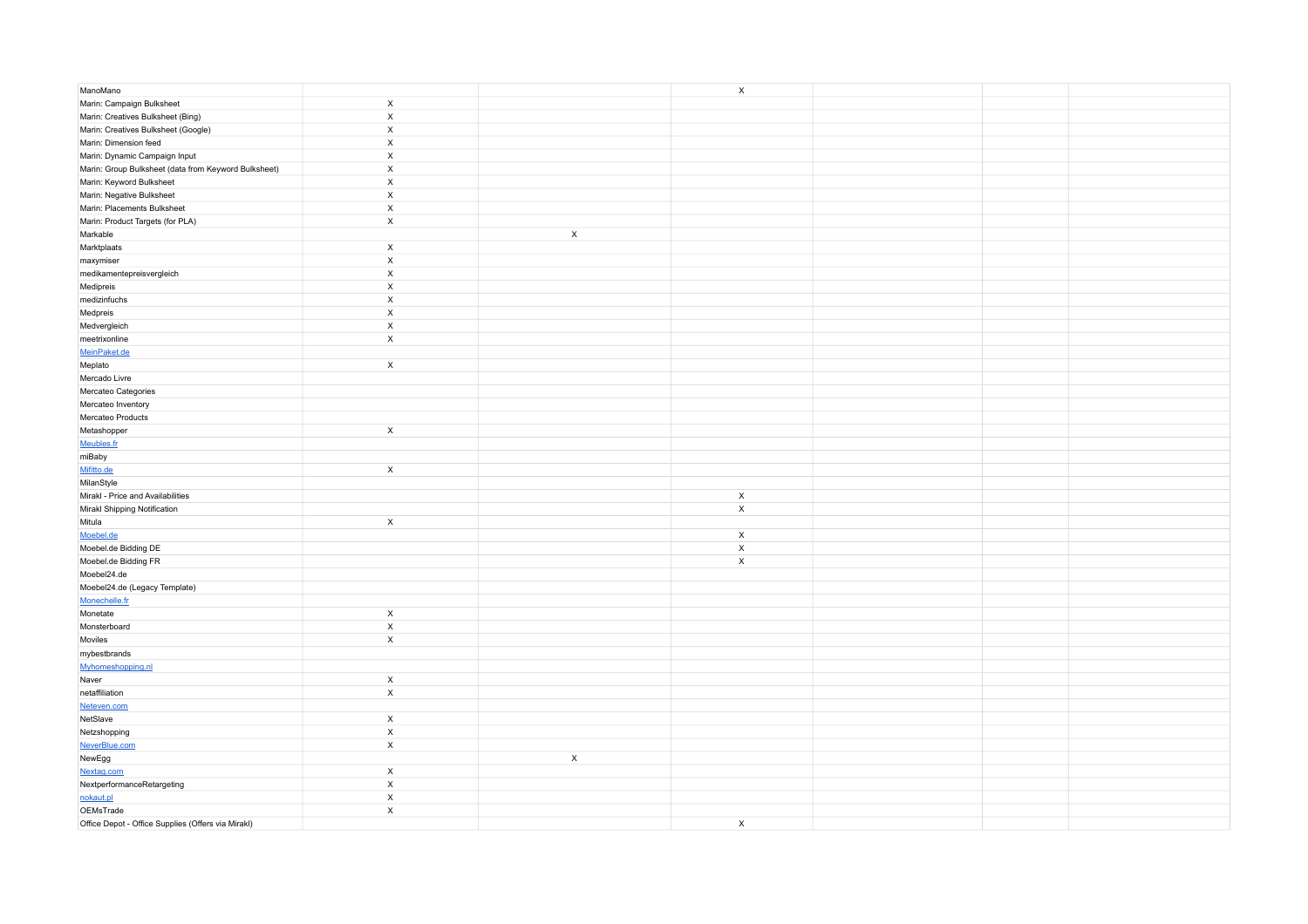| ManoMano                                             |                           | $\mathsf X$               |  |  |
|------------------------------------------------------|---------------------------|---------------------------|--|--|
| Marin: Campaign Bulksheet                            | $\mathsf X$               |                           |  |  |
| Marin: Creatives Bulksheet (Bing)                    | $\boldsymbol{\mathsf{x}}$ |                           |  |  |
| Marin: Creatives Bulksheet (Google)                  | $\mathsf X$               |                           |  |  |
| Marin: Dimension feed                                | $\mathsf X$               |                           |  |  |
| Marin: Dynamic Campaign Input                        | $\mathsf X$               |                           |  |  |
| Marin: Group Bulksheet (data from Keyword Bulksheet) | $\mathsf X$               |                           |  |  |
| Marin: Keyword Bulksheet                             | $\mathsf X$               |                           |  |  |
| Marin: Negative Bulksheet                            | $\mathsf X$               |                           |  |  |
| Marin: Placements Bulksheet                          | $\mathsf X$               |                           |  |  |
| Marin: Product Targets (for PLA)                     | $\mathsf X$               |                           |  |  |
| Markable                                             | $\mathsf X$               |                           |  |  |
| Marktplaats                                          | $\mathsf{x}$              |                           |  |  |
| maxymiser                                            | $\mathsf X$               |                           |  |  |
| medikamentepreisvergleich                            | $\mathsf X$               |                           |  |  |
| Medipreis                                            | $\mathsf X$               |                           |  |  |
| medizinfuchs                                         | $\boldsymbol{\mathsf{X}}$ |                           |  |  |
| Medpreis                                             | $\mathsf X$               |                           |  |  |
| Medvergleich                                         | $\mathsf X$               |                           |  |  |
| meetrixonline                                        | $\mathsf X$               |                           |  |  |
| MeinPaket.de                                         |                           |                           |  |  |
| Meplato                                              | $\boldsymbol{\mathsf{x}}$ |                           |  |  |
| Mercado Livre                                        |                           |                           |  |  |
| Mercateo Categories                                  |                           |                           |  |  |
| Mercateo Inventory                                   |                           |                           |  |  |
| Mercateo Products                                    |                           |                           |  |  |
| Metashopper                                          | $\mathsf{x}$              |                           |  |  |
| Meubles.fr                                           |                           |                           |  |  |
| miBaby                                               |                           |                           |  |  |
| Mifitto.de                                           | $\boldsymbol{\mathsf{x}}$ |                           |  |  |
| MilanStyle                                           |                           |                           |  |  |
| Mirakl - Price and Availabilities                    |                           | $\mathsf{x}$              |  |  |
| Mirakl Shipping Notification                         |                           | $\mathsf X$               |  |  |
| Mitula                                               | $\mathsf X$               |                           |  |  |
| Moebel.de                                            |                           | $\boldsymbol{\mathsf{x}}$ |  |  |
| Moebel.de Bidding DE                                 |                           | $\mathsf X$               |  |  |
| Moebel.de Bidding FR                                 |                           | $\boldsymbol{\mathsf{x}}$ |  |  |
| Moebel24.de                                          |                           |                           |  |  |
| Moebel24.de (Legacy Template)                        |                           |                           |  |  |
| Monechelle.fr                                        |                           |                           |  |  |
| Monetate                                             | $\mathsf X$               |                           |  |  |
| Monsterboard                                         | $\mathsf X$               |                           |  |  |
| Moviles                                              | $\boldsymbol{\mathsf{x}}$ |                           |  |  |
| mybestbrands                                         |                           |                           |  |  |
| Myhomeshopping.nl                                    |                           |                           |  |  |
| Naver                                                | $\boldsymbol{\mathsf{X}}$ |                           |  |  |
| netaffiliation                                       | $\mathsf X$               |                           |  |  |
| Neteven.com                                          |                           |                           |  |  |
| NetSlave                                             | $\mathsf X$               |                           |  |  |
| Netzshopping                                         | $\mathsf X$               |                           |  |  |
| NeverBlue.com                                        | $\mathsf X$               |                           |  |  |
| NewEgg                                               | $\mathsf X$               |                           |  |  |
| Nextag.com                                           | $\boldsymbol{\mathsf{x}}$ |                           |  |  |
| NextperformanceRetargeting                           | $\boldsymbol{\mathsf{X}}$ |                           |  |  |
| nokaut.pl                                            | $\mathsf X$               |                           |  |  |
| $OEMsTrace$                                          | $\mathsf X$               |                           |  |  |
| Office Depot - Office Supplies (Offers via Mirakl)   |                           | $\mathsf{x}$              |  |  |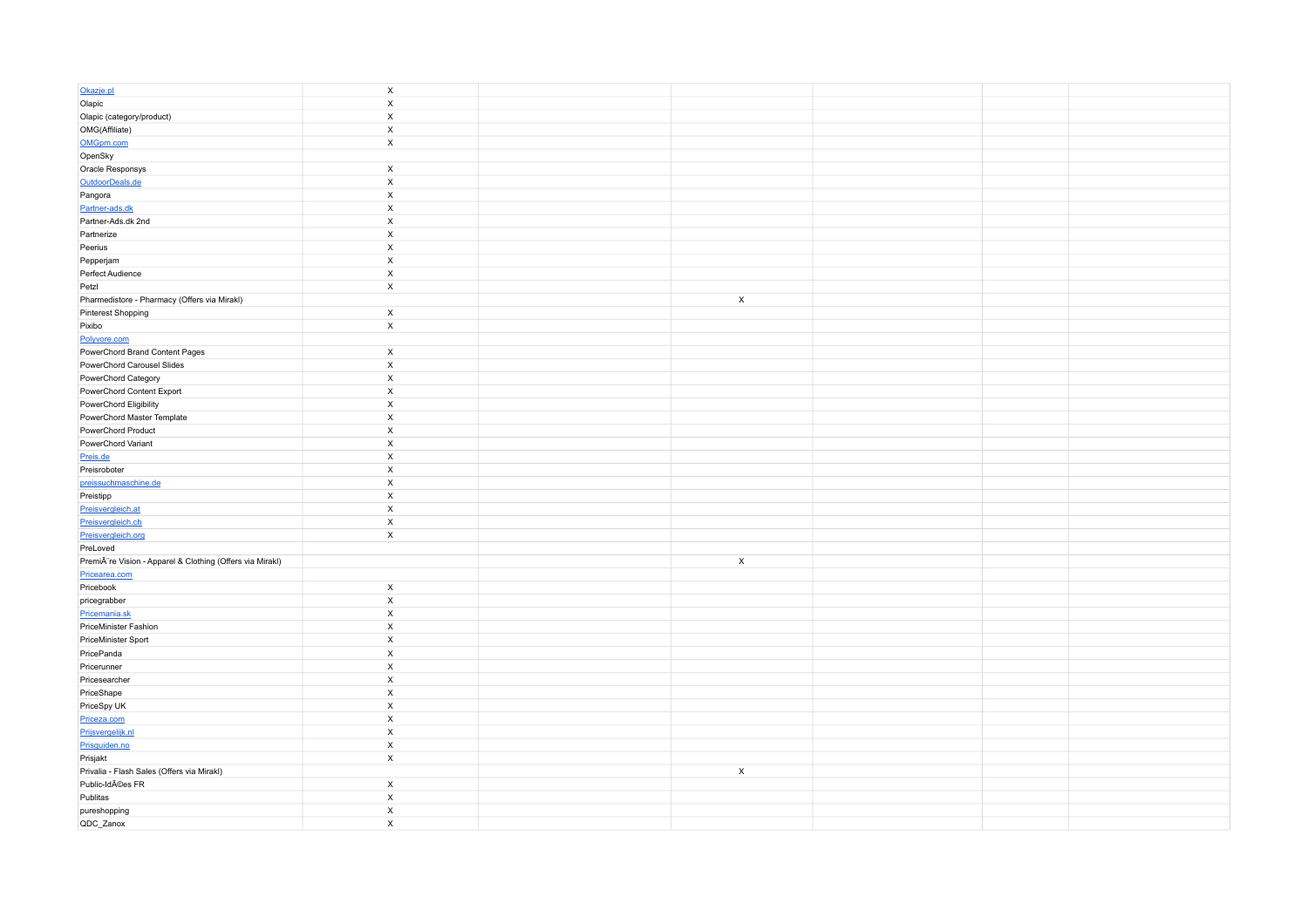| Okazje.pl                                                 | $\boldsymbol{\mathsf{x}}$                |              |  |  |
|-----------------------------------------------------------|------------------------------------------|--------------|--|--|
| Olapic                                                    | $\boldsymbol{\mathsf{X}}$                |              |  |  |
| Olapic (category/product)                                 | $\boldsymbol{\mathsf{X}}$                |              |  |  |
| OMG(Affiliate)                                            | $\mathsf X$                              |              |  |  |
| OMGpm.com                                                 | $\mathsf X$                              |              |  |  |
| OpenSky                                                   |                                          |              |  |  |
| Oracle Responsys                                          | $\mathsf X$                              |              |  |  |
| OutdoorDeals.de                                           | $\boldsymbol{\mathsf{x}}$                |              |  |  |
| Pangora                                                   | $\mathsf X$                              |              |  |  |
| Partner-ads.dk                                            | $\mathsf X$                              |              |  |  |
| Partner-Ads.dk 2nd                                        | $\boldsymbol{\mathsf{X}}$                |              |  |  |
| Partnerize                                                | $\mathsf X$                              |              |  |  |
| Peerius                                                   | $\mathsf X$                              |              |  |  |
| Pepperjam                                                 | $\boldsymbol{\mathsf{X}}$                |              |  |  |
| Perfect Audience                                          | $\mathsf X$                              |              |  |  |
| Petzl                                                     | $\mathsf X$                              |              |  |  |
| Pharmedistore - Pharmacy (Offers via Mirakl)              |                                          | $\mathsf{x}$ |  |  |
| Pinterest Shopping                                        | $\mathsf X$                              |              |  |  |
| Pixibo                                                    | $\mathsf X$                              |              |  |  |
| Polyvore.com                                              |                                          |              |  |  |
| PowerChord Brand Content Pages                            | $\mathsf X$                              |              |  |  |
| PowerChord Carousel Slides                                | $\boldsymbol{\mathsf{X}}$                |              |  |  |
| PowerChord Category                                       | $\mathsf X$                              |              |  |  |
| PowerChord Content Export                                 | $\boldsymbol{\mathsf{x}}$                |              |  |  |
| PowerChord Eligibility                                    | $\mathsf X$                              |              |  |  |
| PowerChord Master Template                                | $\mathsf X$                              |              |  |  |
| PowerChord Product                                        | $\boldsymbol{\mathsf{X}}$                |              |  |  |
| PowerChord Variant                                        | $\mathsf X$                              |              |  |  |
| Preis.de                                                  | $\mathsf X$                              |              |  |  |
| Preisroboter                                              | $\boldsymbol{\mathsf{X}}$                |              |  |  |
| preissuchmaschine.de                                      | $\mathsf X$                              |              |  |  |
| Preistipp                                                 | $\boldsymbol{\mathsf{X}}$                |              |  |  |
| Preisvergleich.at                                         | $\boldsymbol{\mathsf{x}}$                |              |  |  |
| Preisvergleich.ch                                         | $\mathsf X$                              |              |  |  |
| Preisvergleich.org                                        | $\mathsf X$                              |              |  |  |
| PreLoved                                                  |                                          |              |  |  |
| Premià re Vision - Apparel & Clothing (Offers via Mirakl) |                                          | $\mathsf{x}$ |  |  |
| Pricearea.com                                             |                                          |              |  |  |
| Pricebook                                                 | $\mathsf X$<br>$\boldsymbol{\mathsf{X}}$ |              |  |  |
| pricegrabber<br>Pricemania.sk                             | $\mathsf X$                              |              |  |  |
| PriceMinister Fashion                                     | $\mathsf X$                              |              |  |  |
| PriceMinister Sport                                       | $\boldsymbol{\mathsf{X}}$                |              |  |  |
| PricePanda                                                | $\mathsf X$                              |              |  |  |
| Pricerunner                                               | $\boldsymbol{\mathsf{x}}$                |              |  |  |
| Pricesearcher                                             | $\boldsymbol{\mathsf{X}}$                |              |  |  |
| PriceShape                                                | $\mathsf X$                              |              |  |  |
| PriceSpy UK                                               | $\boldsymbol{\mathsf{X}}$                |              |  |  |
| Priceza.com                                               | $\mathsf{x}$                             |              |  |  |
| Prijsvergelijk.nl                                         | $\mathsf X$                              |              |  |  |
| Prisguiden.no                                             | $\mathsf X$                              |              |  |  |
| Prisjakt                                                  | $\mathsf X$                              |              |  |  |
| Privalia - Flash Sales (Offers via Mirakl)                |                                          | $\mathsf{x}$ |  |  |
| Public-IdAOes FR                                          | $\mathsf X$                              |              |  |  |
| Publitas                                                  | $\mathsf X$                              |              |  |  |
| pureshopping                                              | $\boldsymbol{\mathsf{X}}$                |              |  |  |
| QDC_Zanox                                                 | $\boldsymbol{\mathsf{x}}$                |              |  |  |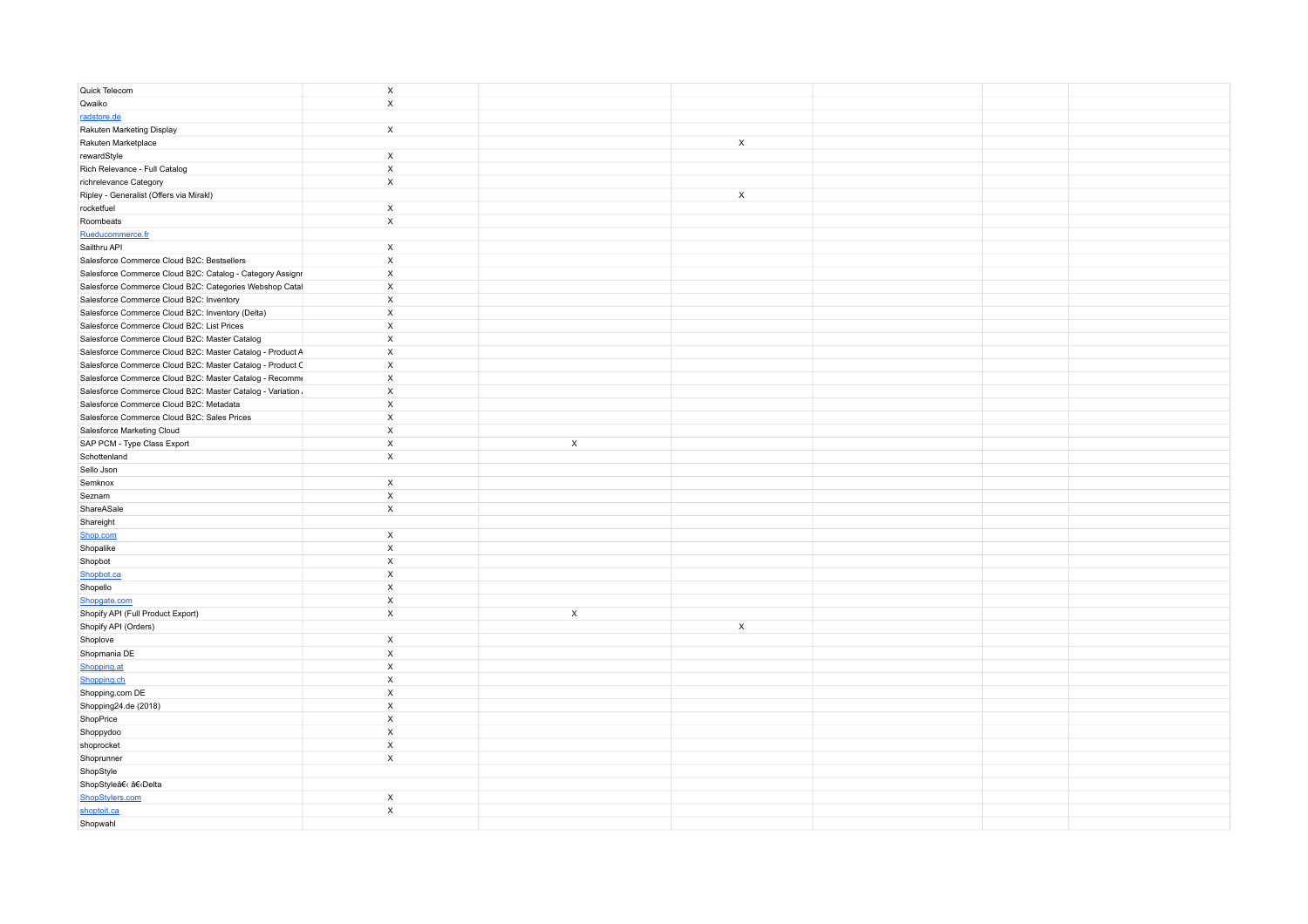| Quick Telecom                                              | $\mathsf X$               |             |                           |  |  |
|------------------------------------------------------------|---------------------------|-------------|---------------------------|--|--|
| Qwaiko                                                     | $\mathsf X$               |             |                           |  |  |
| radstore.de                                                |                           |             |                           |  |  |
| Rakuten Marketing Display                                  | $\mathsf X$               |             |                           |  |  |
| Rakuten Marketplace                                        |                           |             | $\mathsf{x}$              |  |  |
| rewardStyle                                                | $\mathsf X$               |             |                           |  |  |
| Rich Relevance - Full Catalog                              | $\mathsf X$               |             |                           |  |  |
| richrelevance Category                                     | $\mathsf X$               |             |                           |  |  |
| Ripley - Generalist (Offers via Mirakl)                    |                           |             | $\mathsf{X}$              |  |  |
| rocketfuel                                                 | $\mathsf X$               |             |                           |  |  |
| Roombeats                                                  | $\mathsf X$               |             |                           |  |  |
| Rueducommerce.fr                                           |                           |             |                           |  |  |
| Sailthru API                                               | $\boldsymbol{\mathsf{x}}$ |             |                           |  |  |
| Salesforce Commerce Cloud B2C: Bestsellers                 | $\boldsymbol{\mathsf{X}}$ |             |                           |  |  |
| Salesforce Commerce Cloud B2C: Catalog - Category Assignr  | $\boldsymbol{\mathsf{X}}$ |             |                           |  |  |
| Salesforce Commerce Cloud B2C: Categories Webshop Catal    | $\boldsymbol{\mathsf{X}}$ |             |                           |  |  |
| Salesforce Commerce Cloud B2C: Inventory                   | $\boldsymbol{\mathsf{X}}$ |             |                           |  |  |
| Salesforce Commerce Cloud B2C: Inventory (Delta)           | $\boldsymbol{\mathsf{x}}$ |             |                           |  |  |
| Salesforce Commerce Cloud B2C: List Prices                 | $\boldsymbol{\mathsf{X}}$ |             |                           |  |  |
| Salesforce Commerce Cloud B2C: Master Catalog              | $\boldsymbol{\mathsf{x}}$ |             |                           |  |  |
| Salesforce Commerce Cloud B2C: Master Catalog - Product A  | $\boldsymbol{\mathsf{X}}$ |             |                           |  |  |
| Salesforce Commerce Cloud B2C: Master Catalog - Product C  | $\boldsymbol{\mathsf{X}}$ |             |                           |  |  |
| Salesforce Commerce Cloud B2C: Master Catalog - Recomme    | $\boldsymbol{\mathsf{X}}$ |             |                           |  |  |
| Salesforce Commerce Cloud B2C: Master Catalog - Variation. | $\boldsymbol{\mathsf{x}}$ |             |                           |  |  |
| Salesforce Commerce Cloud B2C: Metadata                    | $\boldsymbol{\mathsf{X}}$ |             |                           |  |  |
| Salesforce Commerce Cloud B2C: Sales Prices                | $\boldsymbol{\mathsf{X}}$ |             |                           |  |  |
| Salesforce Marketing Cloud                                 | $\boldsymbol{\mathsf{X}}$ |             |                           |  |  |
| SAP PCM - Type Class Export                                | $\mathsf X$               | $\mathsf X$ |                           |  |  |
| Schottenland                                               | $\mathsf X$               |             |                           |  |  |
| Sello Json                                                 |                           |             |                           |  |  |
| Semknox                                                    | $\mathsf X$               |             |                           |  |  |
| Seznam                                                     | $\mathsf X$               |             |                           |  |  |
| ShareASale                                                 | $\boldsymbol{\mathsf{x}}$ |             |                           |  |  |
| Shareight                                                  |                           |             |                           |  |  |
| Shop.com                                                   | $\mathsf X$               |             |                           |  |  |
| Shopalike                                                  | $\boldsymbol{\mathsf{x}}$ |             |                           |  |  |
| Shopbot                                                    | $\boldsymbol{\mathsf{x}}$ |             |                           |  |  |
| Shopbot.ca                                                 | $\boldsymbol{\mathsf{x}}$ |             |                           |  |  |
| Shopello                                                   | $\boldsymbol{\mathsf{X}}$ |             |                           |  |  |
| Shopgate.com                                               | $\boldsymbol{\mathsf{X}}$ |             |                           |  |  |
| Shopify API (Full Product Export)                          | $\mathsf X$               | X           |                           |  |  |
| Shopify API (Orders)                                       |                           |             | $\boldsymbol{\mathsf{x}}$ |  |  |
| Shoplove                                                   | $\boldsymbol{\mathsf{X}}$ |             |                           |  |  |
| Shopmania DE                                               | $\boldsymbol{\mathsf{x}}$ |             |                           |  |  |
| Shopping.at                                                | $\boldsymbol{\mathsf{X}}$ |             |                           |  |  |
| Shopping.ch                                                | $\boldsymbol{\mathsf{X}}$ |             |                           |  |  |
| Shopping.com DE                                            | $\boldsymbol{\mathsf{X}}$ |             |                           |  |  |
| Shopping24.de (2018)                                       | $\boldsymbol{\mathsf{X}}$ |             |                           |  |  |
| ShopPrice                                                  | $\boldsymbol{\mathsf{x}}$ |             |                           |  |  |
| Shoppydoo                                                  | $\boldsymbol{\mathsf{X}}$ |             |                           |  |  |
| shoprocket                                                 | $\boldsymbol{\mathsf{X}}$ |             |                           |  |  |
| Shoprunner                                                 | $\mathsf X$               |             |                           |  |  |
| ShopStyle                                                  |                           |             |                           |  |  |
| ShopStyle   Delta                                          |                           |             |                           |  |  |
| ShopStylers.com                                            | $\mathsf X$               |             |                           |  |  |
| shoptoit.ca                                                | $\mathsf X$               |             |                           |  |  |
| Shopwahl                                                   |                           |             |                           |  |  |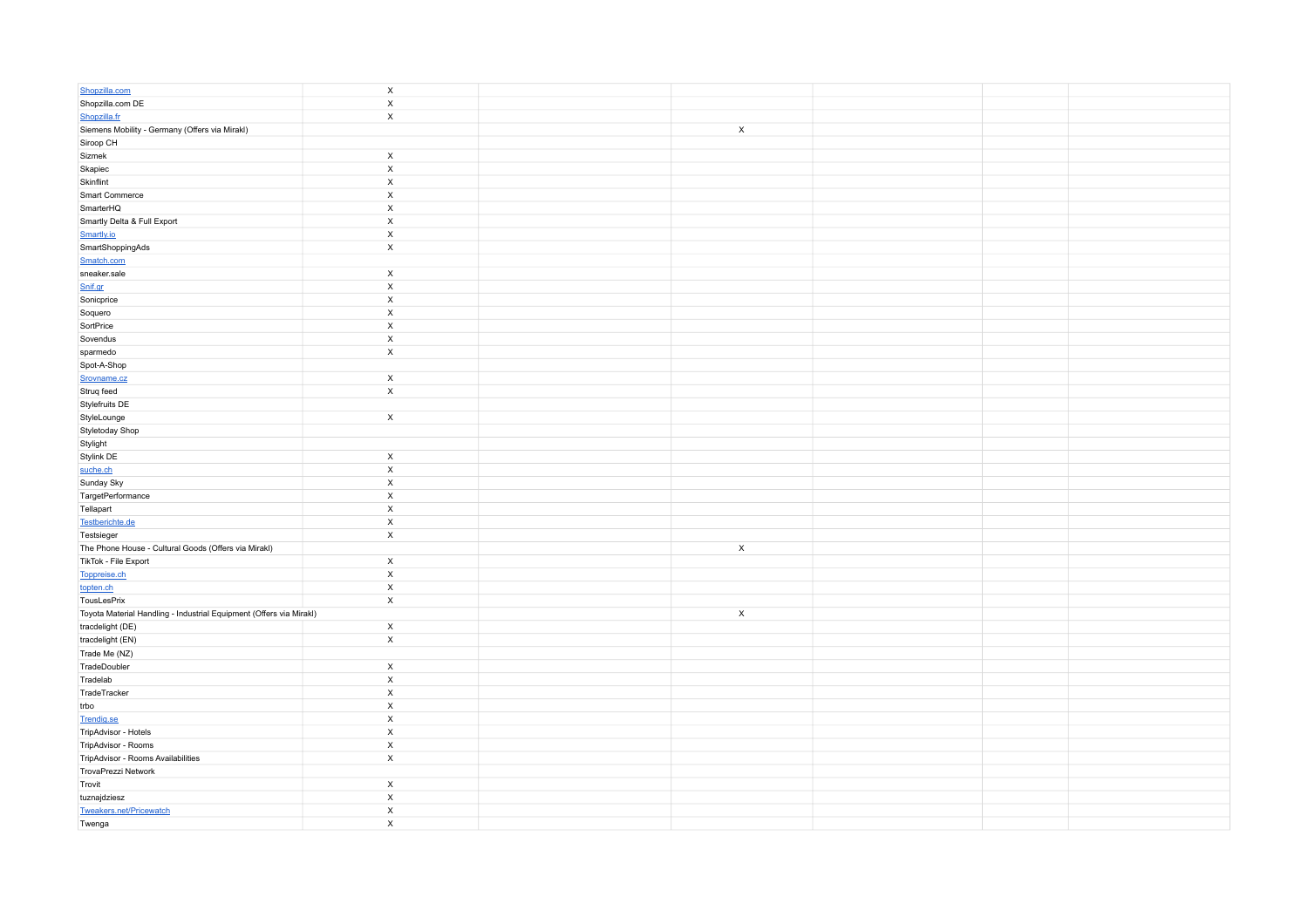| Shopzilla.com                                                       | $\mathsf X$               |             |  |  |
|---------------------------------------------------------------------|---------------------------|-------------|--|--|
| Shopzilla.com DE                                                    | $\mathsf X$               |             |  |  |
| Shopzilla.fr                                                        | $\mathsf X$               |             |  |  |
| Siemens Mobility - Germany (Offers via Mirakl)                      |                           | $\mathsf X$ |  |  |
| Siroop CH                                                           |                           |             |  |  |
| Sizmek                                                              | $\mathsf X$               |             |  |  |
| Skapiec                                                             | $\boldsymbol{\mathsf{x}}$ |             |  |  |
| Skinflint                                                           | $\mathsf X$               |             |  |  |
| Smart Commerce                                                      | $\mathsf X$               |             |  |  |
| SmarterHQ                                                           | $\mathsf X$               |             |  |  |
| Smartly Delta & Full Export                                         | $\mathsf X$               |             |  |  |
| Smartly.io                                                          | $\mathsf X$               |             |  |  |
| SmartShoppingAds                                                    | $\mathsf X$               |             |  |  |
| Smatch.com                                                          |                           |             |  |  |
| sneaker.sale                                                        | $\mathsf X$               |             |  |  |
| Snif.gr                                                             | $\mathsf X$               |             |  |  |
| Sonicprice                                                          | $\boldsymbol{\mathsf{X}}$ |             |  |  |
| Soquero                                                             | $\mathsf X$               |             |  |  |
| SortPrice                                                           | $\overline{\mathsf{x}}$   |             |  |  |
| Sovendus                                                            | $\mathsf X$               |             |  |  |
| sparmedo                                                            | $\mathsf X$               |             |  |  |
| Spot-A-Shop                                                         |                           |             |  |  |
| Srovname.cz                                                         | $\mathsf X$               |             |  |  |
| Struq feed                                                          | $\mathsf X$               |             |  |  |
| Stylefruits DE                                                      |                           |             |  |  |
| StyleLounge                                                         | $\mathsf{x}$              |             |  |  |
| Styletoday Shop                                                     |                           |             |  |  |
| Stylight                                                            |                           |             |  |  |
| Stylink DE                                                          | $\pmb{\times}$            |             |  |  |
| suche.ch                                                            | $\boldsymbol{\mathsf{x}}$ |             |  |  |
| Sunday Sky                                                          | $\mathsf X$               |             |  |  |
| TargetPerformance                                                   | $\mathsf X$               |             |  |  |
| Tellapart                                                           | $\mathsf X$               |             |  |  |
| Testberichte.de                                                     | $\mathsf X$               |             |  |  |
| Testsieger                                                          | $\mathsf X$               |             |  |  |
| The Phone House - Cultural Goods (Offers via Mirakl)                |                           | $\mathsf X$ |  |  |
| TikTok - File Export                                                | $\mathsf X$               |             |  |  |
| Toppreise.ch                                                        | $\mathsf X$               |             |  |  |
| topten.ch                                                           | $\mathsf X$               |             |  |  |
| TousLesPrix                                                         | $\mathsf X$               |             |  |  |
| Toyota Material Handling - Industrial Equipment (Offers via Mirakl) |                           | $\mathsf X$ |  |  |
| tracdelight (DE)                                                    | X                         |             |  |  |
| tracdelight (EN)                                                    | $\mathsf X$               |             |  |  |
| Trade Me (NZ)                                                       |                           |             |  |  |
| TradeDoubler                                                        | X                         |             |  |  |
| Tradelab                                                            | $\boldsymbol{\mathsf{X}}$ |             |  |  |
| TradeTracker                                                        | $\mathsf X$               |             |  |  |
| trbo                                                                | $\mathsf X$               |             |  |  |
| Trendig.se                                                          | $\mathsf X$               |             |  |  |
| TripAdvisor - Hotels                                                | $\mathsf X$               |             |  |  |
| TripAdvisor - Rooms                                                 | $\mathsf X$               |             |  |  |
| TripAdvisor - Rooms Availabilities                                  | $\mathsf X$               |             |  |  |
| TrovaPrezzi Network                                                 |                           |             |  |  |
| Trovit                                                              | $\mathsf X$               |             |  |  |
| tuznajdziesz                                                        | $\mathsf X$               |             |  |  |
| Tweakers.net/Pricewatch                                             | $\mathsf X$               |             |  |  |
| Twenga                                                              | $\boldsymbol{\mathsf{x}}$ |             |  |  |